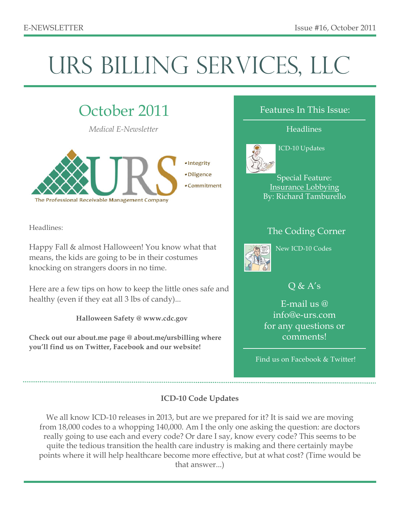# URS BILLING SERVICES, LLC

# October 2011

*Medical E-Newsletter*



Headlines:

Happy Fall & almost Halloween! You know what that means, the kids are going to be in their costumes knocking on strangers doors in no time.

Here are a few tips on how to keep the little ones safe and healthy (even if they eat all 3 lbs of candy)...

#### **Halloween Safety @ www.cdc.gov**

**Check out our about.me page @ about.me/ursbilling where you'll find us on Twitter, Facebook and our website!**

#### Features In This Issue:

#### **Headlines**



#### ICD-10 Updates

Special Feature: Insurance Lobbying By: Richard Tamburello

## The Coding Corner



New ICD-10 Codes

## $Q & A's$

E-mail us @ info@e-urs.com for any questions or comments!

Find us on Facebook & Twitter!

#### **ICD-10 Code Updates**

We all know ICD-10 releases in 2013, but are we prepared for it? It is said we are moving from 18,000 codes to a whopping 140,000. Am I the only one asking the question: are doctors really going to use each and every code? Or dare I say, know every code? This seems to be quite the tedious transition the health care industry is making and there certainly maybe points where it will help healthcare become more effective, but at what cost? (Time would be that answer...)